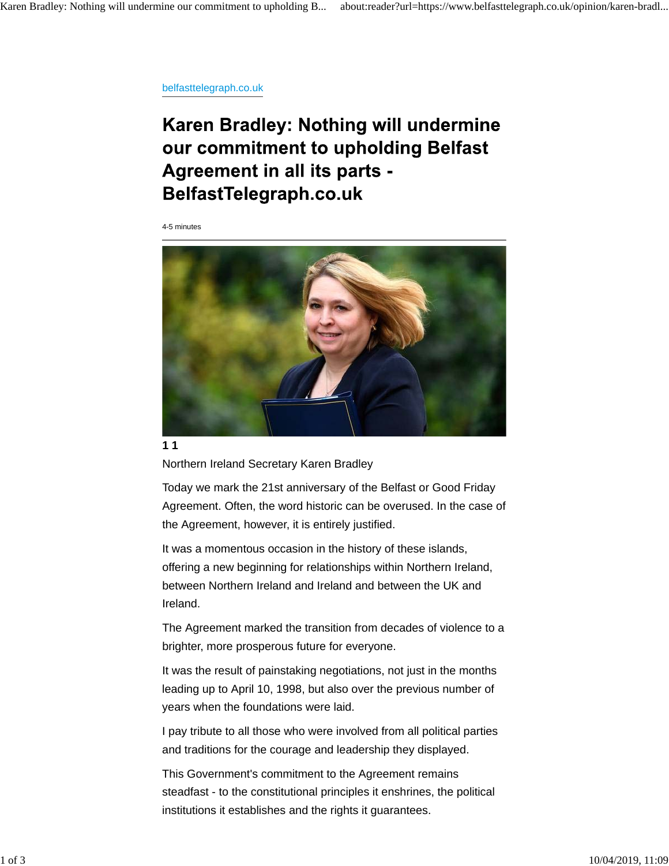belfasttelegraph.co.uk

## Karen Bradley: Nothing will undermine our commitment to upholding Belfast **Agreement in all its parts -**BelfastTelegraph.co.uk

4-5 minutes



**1 1**

Northern Ireland Secretary Karen Bradley

Today we mark the 21st anniversary of the Belfast or Good Friday Agreement. Often, the word historic can be overused. In the case of the Agreement, however, it is entirely justified.

It was a momentous occasion in the history of these islands, offering a new beginning for relationships within Northern Ireland, between Northern Ireland and Ireland and between the UK and Ireland.

The Agreement marked the transition from decades of violence to a brighter, more prosperous future for everyone.

It was the result of painstaking negotiations, not just in the months leading up to April 10, 1998, but also over the previous number of years when the foundations were laid.

I pay tribute to all those who were involved from all political parties and traditions for the courage and leadership they displayed.

This Government's commitment to the Agreement remains steadfast - to the constitutional principles it enshrines, the political institutions it establishes and the rights it guarantees.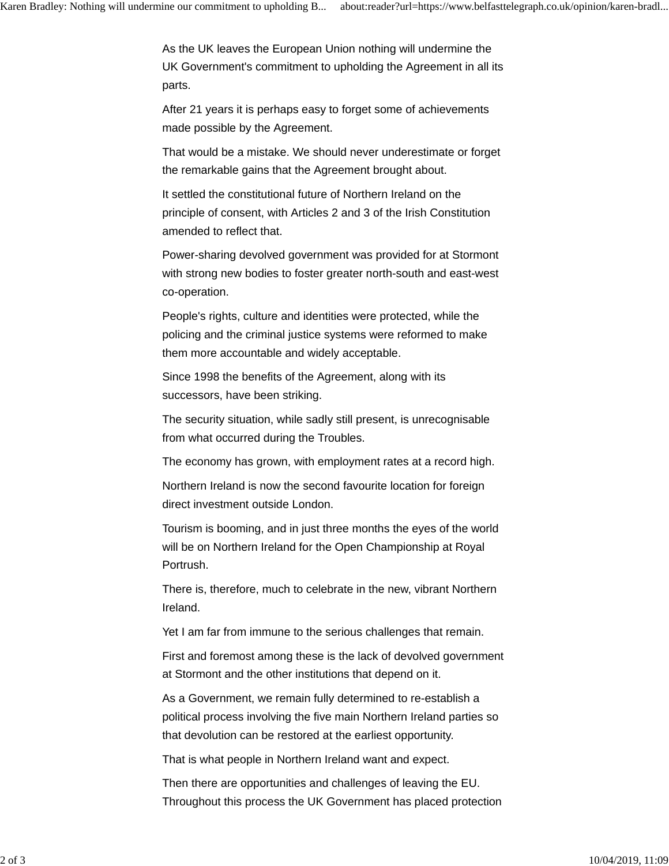As the UK leaves the European Union nothing will undermine the UK Government's commitment to upholding the Agreement in all its parts.

After 21 years it is perhaps easy to forget some of achievements made possible by the Agreement.

That would be a mistake. We should never underestimate or forget the remarkable gains that the Agreement brought about.

It settled the constitutional future of Northern Ireland on the principle of consent, with Articles 2 and 3 of the Irish Constitution amended to reflect that.

Power-sharing devolved government was provided for at Stormont with strong new bodies to foster greater north-south and east-west co-operation.

People's rights, culture and identities were protected, while the policing and the criminal justice systems were reformed to make them more accountable and widely acceptable.

Since 1998 the benefits of the Agreement, along with its successors, have been striking.

The security situation, while sadly still present, is unrecognisable from what occurred during the Troubles.

The economy has grown, with employment rates at a record high.

Northern Ireland is now the second favourite location for foreign direct investment outside London.

Tourism is booming, and in just three months the eyes of the world will be on Northern Ireland for the Open Championship at Royal Portrush.

There is, therefore, much to celebrate in the new, vibrant Northern Ireland.

Yet I am far from immune to the serious challenges that remain.

First and foremost among these is the lack of devolved government at Stormont and the other institutions that depend on it.

As a Government, we remain fully determined to re-establish a political process involving the five main Northern Ireland parties so that devolution can be restored at the earliest opportunity.

That is what people in Northern Ireland want and expect.

Then there are opportunities and challenges of leaving the EU. Throughout this process the UK Government has placed protection